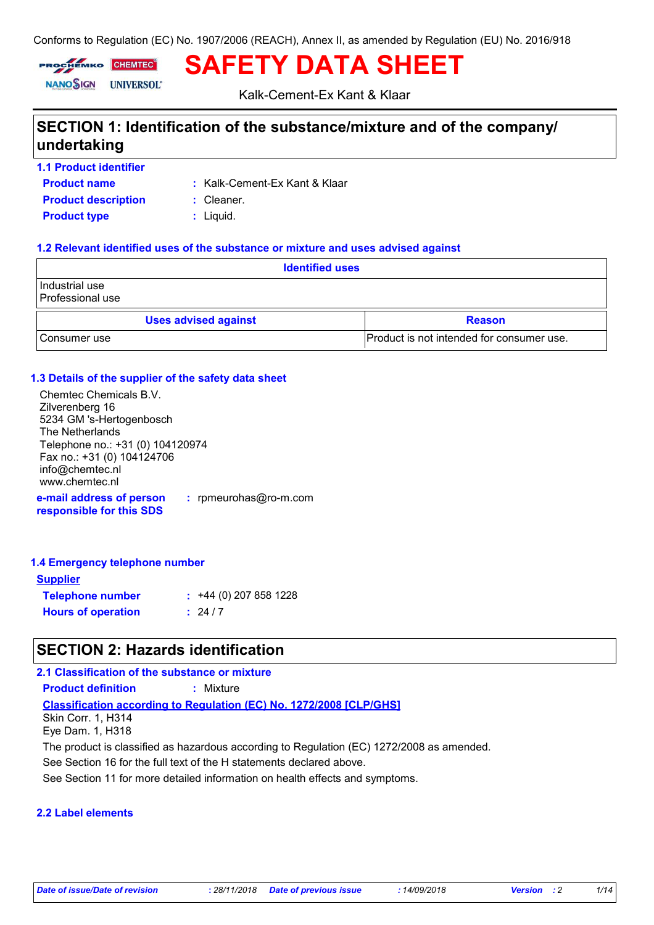Conforms to Regulation (EC) No. 1907/2006 (REACH), Annex II, as amended by Regulation (EU) No. 2016/918

| ROCHEMKO CHEMTECT          |  |  |
|----------------------------|--|--|
| <b>NANOSIGN UNIVERSOL®</b> |  |  |

Kalk-Cement-Ex Kant & Klaar

**DATA SHEET** 

# **SECTION 1: Identification of the substance/mixture and of the company/ undertaking**

**Product name 1.1 Product identifier**

Kalk-Cement-Ex Kant & Klaar **:**

**Product description :** Cleaner.

**Product type**  $\qquad$ **:** Liquid.

PROCHE

### **1.2 Relevant identified uses of the substance or mixture and uses advised against**

| <b>Identified uses</b>               |                                           |  |
|--------------------------------------|-------------------------------------------|--|
| l Industrial use<br>Professional use |                                           |  |
| <b>Uses advised against</b>          | <b>Reason</b>                             |  |
| Consumer use                         | Product is not intended for consumer use. |  |

### **1.3 Details of the supplier of the safety data sheet**

| Chemtec Chemicals B.V.                                                        |
|-------------------------------------------------------------------------------|
| Zilverenberg 16                                                               |
| 5234 GM 's-Hertogenbosch                                                      |
| The Netherlands                                                               |
| Telephone no.: +31 (0) 104120974                                              |
| Fax no.: +31 (0) 104124706                                                    |
| info@chemtec.nl                                                               |
| www.chemtec.nl                                                                |
| e-mail address of person<br>: rpmeurohas@ro-m.com<br>responsible for this SDS |

### **1.4 Emergency telephone number**

| <u>Supplier</u>           |                             |
|---------------------------|-----------------------------|
| <b>Telephone number</b>   | $\div$ +44 (0) 207 858 1228 |
| <b>Hours of operation</b> | : 24/7                      |

### **SECTION 2: Hazards identification**

### **2.1 Classification of the substance or mixture**

**Product definition :** Mixture

### **Classification according to Regulation (EC) No. 1272/2008 [CLP/GHS]**

Skin Corr. 1, H314

Eye Dam. 1, H318

The product is classified as hazardous according to Regulation (EC) 1272/2008 as amended.

See Section 16 for the full text of the H statements declared above.

See Section 11 for more detailed information on health effects and symptoms.

### **2.2 Label elements**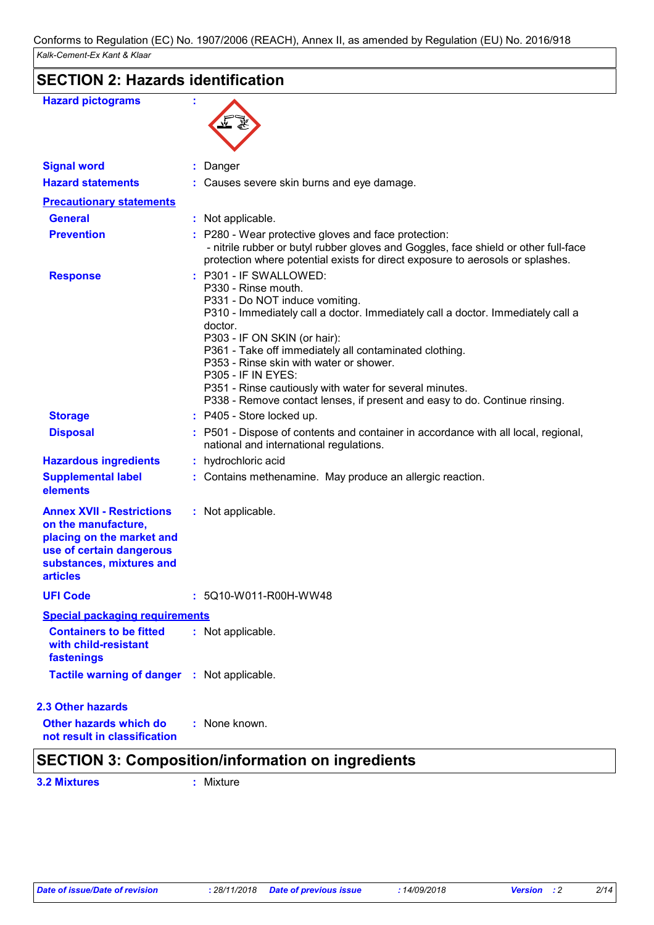| <b>SECTION 2: Hazards identification</b> |  |
|------------------------------------------|--|
|------------------------------------------|--|

| <b>Hazard pictograms</b>                                                                                                                                        |                                                                                                                                                                                                                                                                                                                                                                                                                                                                                          |
|-----------------------------------------------------------------------------------------------------------------------------------------------------------------|------------------------------------------------------------------------------------------------------------------------------------------------------------------------------------------------------------------------------------------------------------------------------------------------------------------------------------------------------------------------------------------------------------------------------------------------------------------------------------------|
| <b>Signal word</b>                                                                                                                                              | Danger                                                                                                                                                                                                                                                                                                                                                                                                                                                                                   |
| <b>Hazard statements</b>                                                                                                                                        | : Causes severe skin burns and eye damage.                                                                                                                                                                                                                                                                                                                                                                                                                                               |
| <b>Precautionary statements</b>                                                                                                                                 |                                                                                                                                                                                                                                                                                                                                                                                                                                                                                          |
| <b>General</b>                                                                                                                                                  | : Not applicable.                                                                                                                                                                                                                                                                                                                                                                                                                                                                        |
| <b>Prevention</b>                                                                                                                                               | : P280 - Wear protective gloves and face protection:<br>- nitrile rubber or butyl rubber gloves and Goggles, face shield or other full-face<br>protection where potential exists for direct exposure to aerosols or splashes.                                                                                                                                                                                                                                                            |
| <b>Response</b>                                                                                                                                                 | : P301 - IF SWALLOWED:<br>P330 - Rinse mouth.<br>P331 - Do NOT induce vomiting.<br>P310 - Immediately call a doctor. Immediately call a doctor. Immediately call a<br>doctor.<br>P303 - IF ON SKIN (or hair):<br>P361 - Take off immediately all contaminated clothing.<br>P353 - Rinse skin with water or shower.<br><b>P305 - IF IN EYES:</b><br>P351 - Rinse cautiously with water for several minutes.<br>P338 - Remove contact lenses, if present and easy to do. Continue rinsing. |
| <b>Storage</b>                                                                                                                                                  | : P405 - Store locked up.                                                                                                                                                                                                                                                                                                                                                                                                                                                                |
| <b>Disposal</b>                                                                                                                                                 | : P501 - Dispose of contents and container in accordance with all local, regional,<br>national and international regulations.                                                                                                                                                                                                                                                                                                                                                            |
| <b>Hazardous ingredients</b>                                                                                                                                    | : hydrochloric acid                                                                                                                                                                                                                                                                                                                                                                                                                                                                      |
| <b>Supplemental label</b><br>elements                                                                                                                           | : Contains methenamine. May produce an allergic reaction.                                                                                                                                                                                                                                                                                                                                                                                                                                |
| <b>Annex XVII - Restrictions</b><br>on the manufacture,<br>placing on the market and<br>use of certain dangerous<br>substances, mixtures and<br><b>articles</b> | : Not applicable.                                                                                                                                                                                                                                                                                                                                                                                                                                                                        |
| <b>UFI Code</b>                                                                                                                                                 | $: 5Q10-W011-R00H-WW48$                                                                                                                                                                                                                                                                                                                                                                                                                                                                  |
| <b>Special packaging requirements</b>                                                                                                                           |                                                                                                                                                                                                                                                                                                                                                                                                                                                                                          |
| <b>Containers to be fitted</b><br>with child-resistant<br>fastenings                                                                                            | : Not applicable.                                                                                                                                                                                                                                                                                                                                                                                                                                                                        |
| Tactile warning of danger : Not applicable.                                                                                                                     |                                                                                                                                                                                                                                                                                                                                                                                                                                                                                          |
| <b>2.3 Other hazards</b>                                                                                                                                        |                                                                                                                                                                                                                                                                                                                                                                                                                                                                                          |
| Other hazards which do<br>not result in classification                                                                                                          | : None known.                                                                                                                                                                                                                                                                                                                                                                                                                                                                            |
|                                                                                                                                                                 |                                                                                                                                                                                                                                                                                                                                                                                                                                                                                          |

### **SECTION 3: Composition/information on ingredients**

**3.2 Mixtures :** Mixture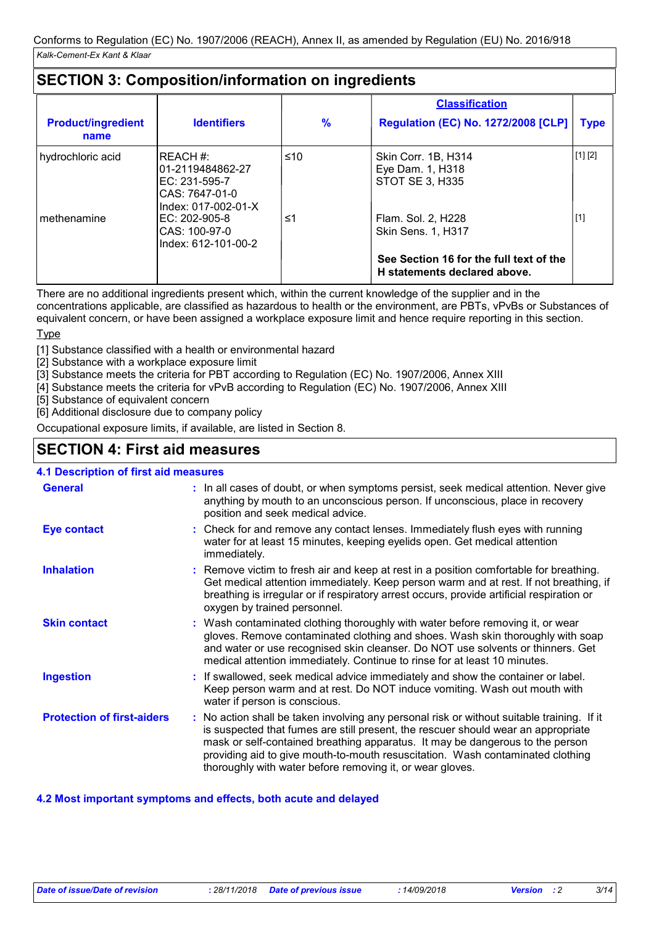## **SECTION 3: Composition/information on ingredients**

|                                                                   |                     | <b>Classification</b>                                                               |                              |
|-------------------------------------------------------------------|---------------------|-------------------------------------------------------------------------------------|------------------------------|
| <b>Identifiers</b>                                                | $\frac{9}{6}$       | <b>Regulation (EC) No. 1272/2008 [CLP]</b>                                          | Type                         |
| IREACH #:<br>l01-2119484862-27<br>EC: 231-595-7<br>CAS: 7647-01-0 | ≤10                 | Skin Corr. 1B, H314<br>Eye Dam. 1, H318<br><b>STOT SE 3, H335</b>                   | [1] [2]                      |
| EC: 202-905-8<br>CAS: 100-97-0<br>Index: 612-101-00-2             | ≤1                  | Flam. Sol. 2, H228<br>Skin Sens. 1, H317<br>See Section 16 for the full text of the | $[1]$                        |
|                                                                   | Index: 017-002-01-X |                                                                                     | H statements declared above. |

There are no additional ingredients present which, within the current knowledge of the supplier and in the concentrations applicable, are classified as hazardous to health or the environment, are PBTs, vPvBs or Substances of equivalent concern, or have been assigned a workplace exposure limit and hence require reporting in this section.

Type

[1] Substance classified with a health or environmental hazard

[2] Substance with a workplace exposure limit

[3] Substance meets the criteria for PBT according to Regulation (EC) No. 1907/2006, Annex XIII

[4] Substance meets the criteria for vPvB according to Regulation (EC) No. 1907/2006, Annex XIII

[5] Substance of equivalent concern

[6] Additional disclosure due to company policy

Occupational exposure limits, if available, are listed in Section 8.

### **SECTION 4: First aid measures**

### **4.1 Description of first aid measures**

| <b>General</b>                    | : In all cases of doubt, or when symptoms persist, seek medical attention. Never give<br>anything by mouth to an unconscious person. If unconscious, place in recovery<br>position and seek medical advice.                                                                                                                                                                                                     |
|-----------------------------------|-----------------------------------------------------------------------------------------------------------------------------------------------------------------------------------------------------------------------------------------------------------------------------------------------------------------------------------------------------------------------------------------------------------------|
| <b>Eye contact</b>                | : Check for and remove any contact lenses. Immediately flush eyes with running<br>water for at least 15 minutes, keeping eyelids open. Get medical attention<br>immediately.                                                                                                                                                                                                                                    |
| <b>Inhalation</b>                 | : Remove victim to fresh air and keep at rest in a position comfortable for breathing.<br>Get medical attention immediately. Keep person warm and at rest. If not breathing, if<br>breathing is irregular or if respiratory arrest occurs, provide artificial respiration or<br>oxygen by trained personnel.                                                                                                    |
| <b>Skin contact</b>               | : Wash contaminated clothing thoroughly with water before removing it, or wear<br>gloves. Remove contaminated clothing and shoes. Wash skin thoroughly with soap<br>and water or use recognised skin cleanser. Do NOT use solvents or thinners. Get<br>medical attention immediately. Continue to rinse for at least 10 minutes.                                                                                |
| <b>Ingestion</b>                  | : If swallowed, seek medical advice immediately and show the container or label.<br>Keep person warm and at rest. Do NOT induce vomiting. Wash out mouth with<br>water if person is conscious.                                                                                                                                                                                                                  |
| <b>Protection of first-aiders</b> | : No action shall be taken involving any personal risk or without suitable training. If it<br>is suspected that fumes are still present, the rescuer should wear an appropriate<br>mask or self-contained breathing apparatus. It may be dangerous to the person<br>providing aid to give mouth-to-mouth resuscitation. Wash contaminated clothing<br>thoroughly with water before removing it, or wear gloves. |

### **4.2 Most important symptoms and effects, both acute and delayed**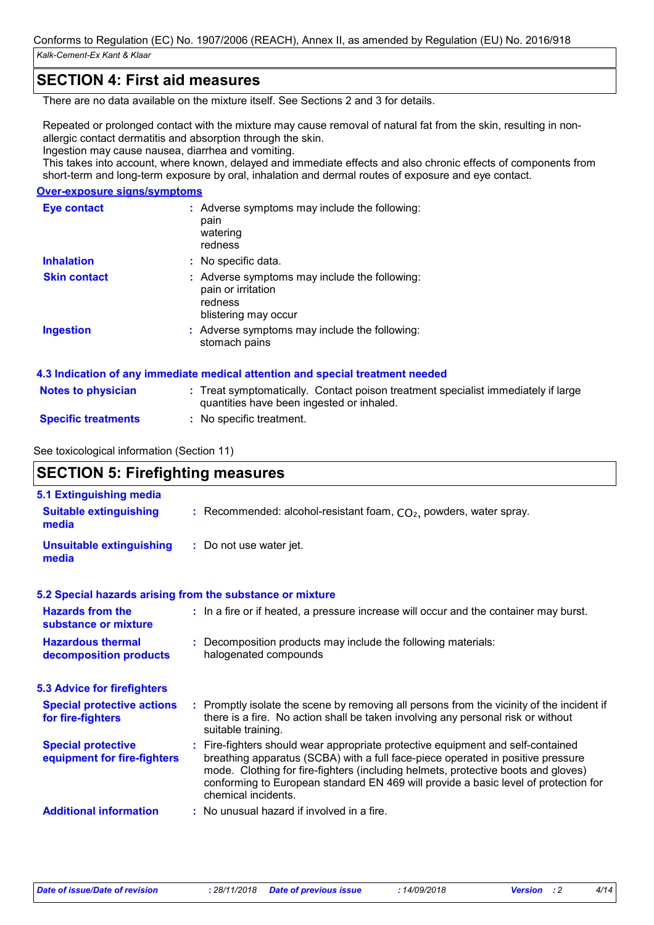### **SECTION 4: First aid measures**

There are no data available on the mixture itself. See Sections 2 and 3 for details.

Repeated or prolonged contact with the mixture may cause removal of natural fat from the skin, resulting in nonallergic contact dermatitis and absorption through the skin.

Ingestion may cause nausea, diarrhea and vomiting.

This takes into account, where known, delayed and immediate effects and also chronic effects of components from short-term and long-term exposure by oral, inhalation and dermal routes of exposure and eye contact.

#### **Over-exposure signs/symptoms**

| <b>Eye contact</b>        | : Adverse symptoms may include the following:<br>pain<br>watering<br>redness                                                   |
|---------------------------|--------------------------------------------------------------------------------------------------------------------------------|
| <b>Inhalation</b>         | : No specific data.                                                                                                            |
| <b>Skin contact</b>       | : Adverse symptoms may include the following:<br>pain or irritation<br>redness<br>blistering may occur                         |
| <b>Ingestion</b>          | : Adverse symptoms may include the following:<br>stomach pains                                                                 |
|                           | 4.3 Indication of any immediate medical attention and special treatment needed                                                 |
| <b>Notes to physician</b> | : Treat symptomatically. Contact poison treatment specialist immediately if large<br>quantities have been ingested or inhaled. |

**Specific treatments :** No specific treatment.

### See toxicological information (Section 11)

#### **SECTION 5: Firefighting measures** Recommended: alcohol-resistant foam, CO₂, powders, water spray. **: :** Do not use water jet. **Hazardous thermal decomposition products Hazards from the substance or mixture Special protective equipment for fire-fighters 5.1 Extinguishing media :** In a fire or if heated, a pressure increase will occur and the container may burst. **:** Decomposition products may include the following materials: **:** Fire-fighters should wear appropriate protective equipment and self-contained **Suitable extinguishing media Unsuitable extinguishing media 5.2 Special hazards arising from the substance or mixture 5.3 Advice for firefighters Special protective actions for fire-fighters :** Promptly isolate the scene by removing all persons from the vicinity of the incident if there is a fire. No action shall be taken involving any personal risk or without suitable training. breathing apparatus (SCBA) with a full face-piece operated in positive pressure mode. Clothing for fire-fighters (including helmets, protective boots and gloves) conforming to European standard EN 469 will provide a basic level of protection for chemical incidents. halogenated compounds

**Additional information :** No unusual hazard if involved in a fire.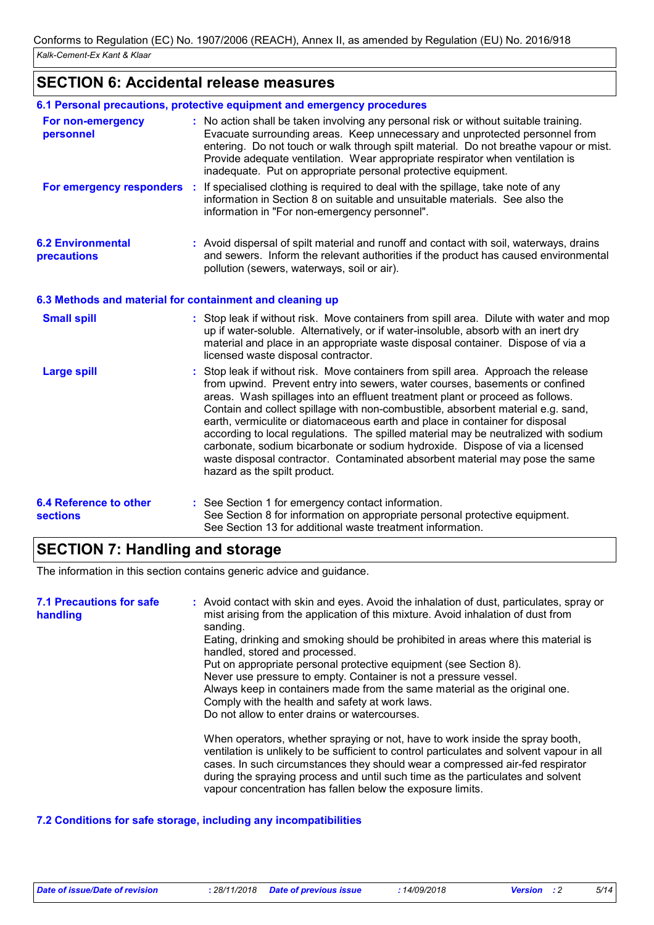## **SECTION 6: Accidental release measures**

|                                                          | 6.1 Personal precautions, protective equipment and emergency procedures                                                                                                                                                                                                                                                                                                                                                                                                                                                                                                                                                                                                                                      |
|----------------------------------------------------------|--------------------------------------------------------------------------------------------------------------------------------------------------------------------------------------------------------------------------------------------------------------------------------------------------------------------------------------------------------------------------------------------------------------------------------------------------------------------------------------------------------------------------------------------------------------------------------------------------------------------------------------------------------------------------------------------------------------|
| For non-emergency<br>personnel                           | : No action shall be taken involving any personal risk or without suitable training.<br>Evacuate surrounding areas. Keep unnecessary and unprotected personnel from<br>entering. Do not touch or walk through spilt material. Do not breathe vapour or mist.<br>Provide adequate ventilation. Wear appropriate respirator when ventilation is<br>inadequate. Put on appropriate personal protective equipment.                                                                                                                                                                                                                                                                                               |
| <b>For emergency responders :</b>                        | If specialised clothing is required to deal with the spillage, take note of any<br>information in Section 8 on suitable and unsuitable materials. See also the<br>information in "For non-emergency personnel".                                                                                                                                                                                                                                                                                                                                                                                                                                                                                              |
| <b>6.2 Environmental</b><br>precautions                  | : Avoid dispersal of spilt material and runoff and contact with soil, waterways, drains<br>and sewers. Inform the relevant authorities if the product has caused environmental<br>pollution (sewers, waterways, soil or air).                                                                                                                                                                                                                                                                                                                                                                                                                                                                                |
| 6.3 Methods and material for containment and cleaning up |                                                                                                                                                                                                                                                                                                                                                                                                                                                                                                                                                                                                                                                                                                              |
| <b>Small spill</b>                                       | : Stop leak if without risk. Move containers from spill area. Dilute with water and mop<br>up if water-soluble. Alternatively, or if water-insoluble, absorb with an inert dry<br>material and place in an appropriate waste disposal container. Dispose of via a<br>licensed waste disposal contractor.                                                                                                                                                                                                                                                                                                                                                                                                     |
| <b>Large spill</b>                                       | Stop leak if without risk. Move containers from spill area. Approach the release<br>from upwind. Prevent entry into sewers, water courses, basements or confined<br>areas. Wash spillages into an effluent treatment plant or proceed as follows.<br>Contain and collect spillage with non-combustible, absorbent material e.g. sand,<br>earth, vermiculite or diatomaceous earth and place in container for disposal<br>according to local regulations. The spilled material may be neutralized with sodium<br>carbonate, sodium bicarbonate or sodium hydroxide. Dispose of via a licensed<br>waste disposal contractor. Contaminated absorbent material may pose the same<br>hazard as the spilt product. |
| <b>6.4 Reference to other</b><br><b>sections</b>         | : See Section 1 for emergency contact information.<br>See Section 8 for information on appropriate personal protective equipment.<br>See Section 13 for additional waste treatment information.                                                                                                                                                                                                                                                                                                                                                                                                                                                                                                              |

### **SECTION 7: Handling and storage**

The information in this section contains generic advice and guidance.

| <b>7.1 Precautions for safe</b><br>handling | : Avoid contact with skin and eyes. Avoid the inhalation of dust, particulates, spray or<br>mist arising from the application of this mixture. Avoid inhalation of dust from<br>sanding.<br>Eating, drinking and smoking should be prohibited in areas where this material is<br>handled, stored and processed.<br>Put on appropriate personal protective equipment (see Section 8).<br>Never use pressure to empty. Container is not a pressure vessel.<br>Always keep in containers made from the same material as the original one.<br>Comply with the health and safety at work laws.<br>Do not allow to enter drains or watercourses.<br>When operators, whether spraying or not, have to work inside the spray booth,<br>ventilation is unlikely to be sufficient to control particulates and solvent vapour in all<br>cases. In such circumstances they should wear a compressed air-fed respirator |
|---------------------------------------------|------------------------------------------------------------------------------------------------------------------------------------------------------------------------------------------------------------------------------------------------------------------------------------------------------------------------------------------------------------------------------------------------------------------------------------------------------------------------------------------------------------------------------------------------------------------------------------------------------------------------------------------------------------------------------------------------------------------------------------------------------------------------------------------------------------------------------------------------------------------------------------------------------------|
|                                             | during the spraying process and until such time as the particulates and solvent<br>vapour concentration has fallen below the exposure limits.                                                                                                                                                                                                                                                                                                                                                                                                                                                                                                                                                                                                                                                                                                                                                              |

### **7.2 Conditions for safe storage, including any incompatibilities**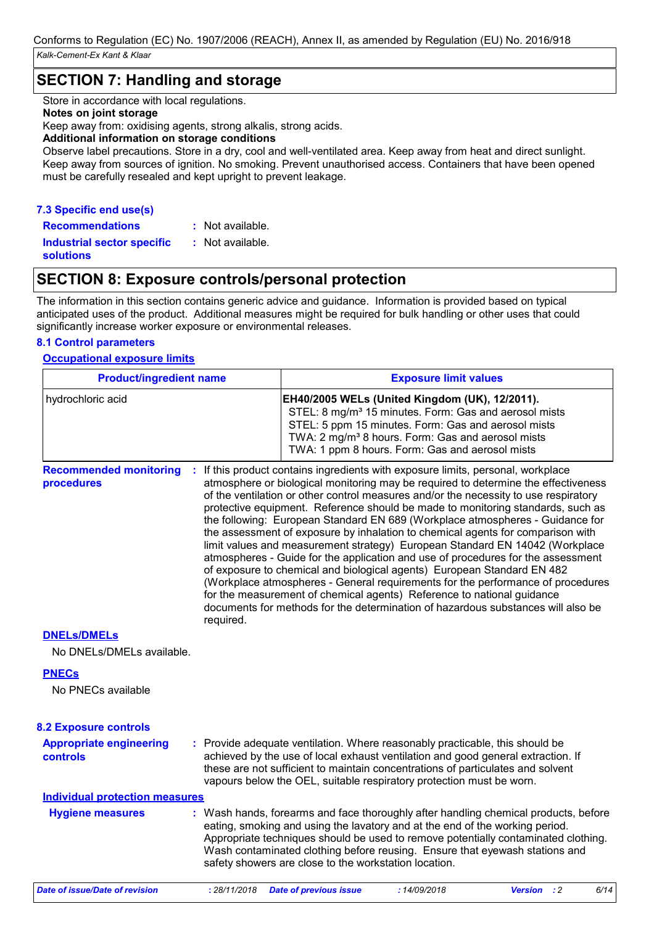## **SECTION 7: Handling and storage**

Store in accordance with local regulations.

#### **Notes on joint storage**

Keep away from: oxidising agents, strong alkalis, strong acids.

#### **Additional information on storage conditions**

Observe label precautions. Store in a dry, cool and well-ventilated area. Keep away from heat and direct sunlight. Keep away from sources of ignition. No smoking. Prevent unauthorised access. Containers that have been opened must be carefully resealed and kept upright to prevent leakage.

### **7.3 Specific end use(s)**

**Recommendations :**

: Not available. : Not available.

**Industrial sector specific : solutions**

## **SECTION 8: Exposure controls/personal protection**

The information in this section contains generic advice and guidance. Information is provided based on typical anticipated uses of the product. Additional measures might be required for bulk handling or other uses that could significantly increase worker exposure or environmental releases.

### **8.1 Control parameters**

### **Occupational exposure limits**

| <b>Product/ingredient name</b>                  |              | <b>Exposure limit values</b>                                                                                                                                                                                                                                                                   |                                                                                                                                                                                                                                                                                                                                                                                                                                                                                                                                                                                                                                                                                                                                                                                                                                                                                                                                                                                                                     |                |                    |
|-------------------------------------------------|--------------|------------------------------------------------------------------------------------------------------------------------------------------------------------------------------------------------------------------------------------------------------------------------------------------------|---------------------------------------------------------------------------------------------------------------------------------------------------------------------------------------------------------------------------------------------------------------------------------------------------------------------------------------------------------------------------------------------------------------------------------------------------------------------------------------------------------------------------------------------------------------------------------------------------------------------------------------------------------------------------------------------------------------------------------------------------------------------------------------------------------------------------------------------------------------------------------------------------------------------------------------------------------------------------------------------------------------------|----------------|--------------------|
| hydrochloric acid                               |              | EH40/2005 WELs (United Kingdom (UK), 12/2011).<br>STEL: 8 mg/m <sup>3</sup> 15 minutes. Form: Gas and aerosol mists<br>STEL: 5 ppm 15 minutes. Form: Gas and aerosol mists<br>TWA: 2 mg/m <sup>3</sup> 8 hours. Form: Gas and aerosol mists<br>TWA: 1 ppm 8 hours. Form: Gas and aerosol mists |                                                                                                                                                                                                                                                                                                                                                                                                                                                                                                                                                                                                                                                                                                                                                                                                                                                                                                                                                                                                                     |                |                    |
| <b>Recommended monitoring</b><br>procedures     | required.    |                                                                                                                                                                                                                                                                                                | If this product contains ingredients with exposure limits, personal, workplace<br>atmosphere or biological monitoring may be required to determine the effectiveness<br>of the ventilation or other control measures and/or the necessity to use respiratory<br>protective equipment. Reference should be made to monitoring standards, such as<br>the following: European Standard EN 689 (Workplace atmospheres - Guidance for<br>the assessment of exposure by inhalation to chemical agents for comparison with<br>limit values and measurement strategy) European Standard EN 14042 (Workplace<br>atmospheres - Guide for the application and use of procedures for the assessment<br>of exposure to chemical and biological agents) European Standard EN 482<br>(Workplace atmospheres - General requirements for the performance of procedures<br>for the measurement of chemical agents) Reference to national guidance<br>documents for methods for the determination of hazardous substances will also be |                |                    |
| <b>DNELS/DMELS</b><br>No DNELs/DMELs available. |              |                                                                                                                                                                                                                                                                                                |                                                                                                                                                                                                                                                                                                                                                                                                                                                                                                                                                                                                                                                                                                                                                                                                                                                                                                                                                                                                                     |                |                    |
| <b>PNECs</b><br>No PNECs available              |              |                                                                                                                                                                                                                                                                                                |                                                                                                                                                                                                                                                                                                                                                                                                                                                                                                                                                                                                                                                                                                                                                                                                                                                                                                                                                                                                                     |                |                    |
| <b>8.2 Exposure controls</b>                    |              |                                                                                                                                                                                                                                                                                                |                                                                                                                                                                                                                                                                                                                                                                                                                                                                                                                                                                                                                                                                                                                                                                                                                                                                                                                                                                                                                     |                |                    |
| <b>Appropriate engineering</b><br>controls      |              |                                                                                                                                                                                                                                                                                                | : Provide adequate ventilation. Where reasonably practicable, this should be<br>achieved by the use of local exhaust ventilation and good general extraction. If<br>these are not sufficient to maintain concentrations of particulates and solvent<br>vapours below the OEL, suitable respiratory protection must be worn.                                                                                                                                                                                                                                                                                                                                                                                                                                                                                                                                                                                                                                                                                         |                |                    |
| <b>Individual protection measures</b>           |              |                                                                                                                                                                                                                                                                                                |                                                                                                                                                                                                                                                                                                                                                                                                                                                                                                                                                                                                                                                                                                                                                                                                                                                                                                                                                                                                                     |                |                    |
| <b>Hygiene measures</b>                         |              | safety showers are close to the workstation location.                                                                                                                                                                                                                                          | : Wash hands, forearms and face thoroughly after handling chemical products, before<br>eating, smoking and using the lavatory and at the end of the working period.<br>Appropriate techniques should be used to remove potentially contaminated clothing.<br>Wash contaminated clothing before reusing. Ensure that eyewash stations and                                                                                                                                                                                                                                                                                                                                                                                                                                                                                                                                                                                                                                                                            |                |                    |
| Date of issue/Date of revision                  | : 28/11/2018 | <b>Date of previous issue</b>                                                                                                                                                                                                                                                                  | :14/09/2018                                                                                                                                                                                                                                                                                                                                                                                                                                                                                                                                                                                                                                                                                                                                                                                                                                                                                                                                                                                                         | <b>Version</b> | 6/14<br>$\cdot$ :2 |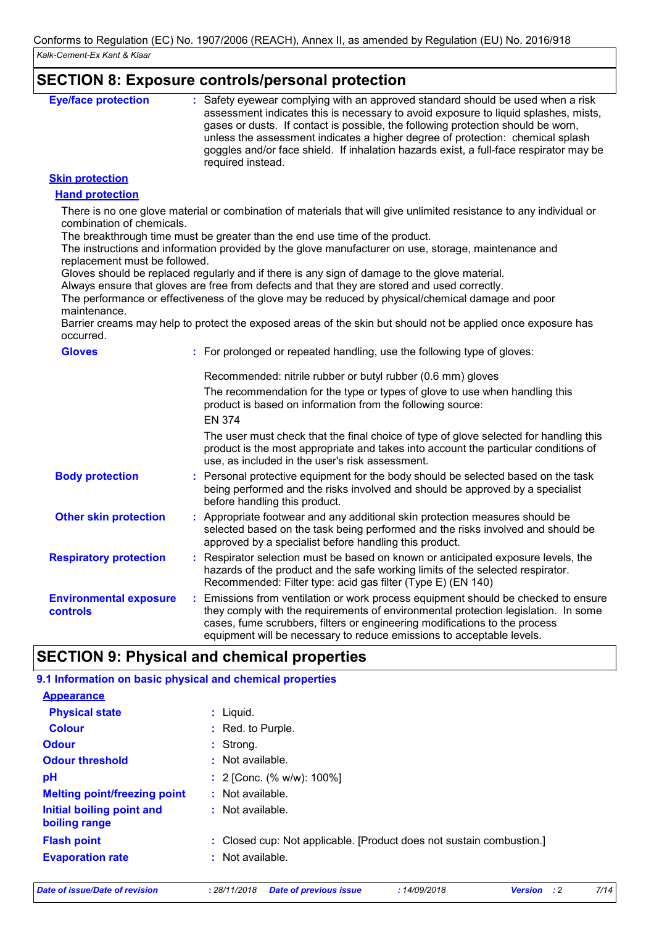### **SECTION 8: Exposure controls/personal protection**

| <b>Eye/face protection</b> | : Safety eyewear complying with an approved standard should be used when a risk<br>assessment indicates this is necessary to avoid exposure to liquid splashes, mists,<br>gases or dusts. If contact is possible, the following protection should be worn,<br>unless the assessment indicates a higher degree of protection: chemical splash<br>goggles and/or face shield. If inhalation hazards exist, a full-face respirator may be<br>required instead. |
|----------------------------|-------------------------------------------------------------------------------------------------------------------------------------------------------------------------------------------------------------------------------------------------------------------------------------------------------------------------------------------------------------------------------------------------------------------------------------------------------------|
|----------------------------|-------------------------------------------------------------------------------------------------------------------------------------------------------------------------------------------------------------------------------------------------------------------------------------------------------------------------------------------------------------------------------------------------------------------------------------------------------------|

### **Skin protection**

#### **Hand protection**

There is no one glove material or combination of materials that will give unlimited resistance to any individual or combination of chemicals.

The breakthrough time must be greater than the end use time of the product.

The instructions and information provided by the glove manufacturer on use, storage, maintenance and replacement must be followed.

Gloves should be replaced regularly and if there is any sign of damage to the glove material.

Always ensure that gloves are free from defects and that they are stored and used correctly.

The performance or effectiveness of the glove may be reduced by physical/chemical damage and poor maintenance.

Barrier creams may help to protect the exposed areas of the skin but should not be applied once exposure has occurred.

| <b>Gloves</b>                             | : For prolonged or repeated handling, use the following type of gloves:                                                                                                                                                                                                                                                         |
|-------------------------------------------|---------------------------------------------------------------------------------------------------------------------------------------------------------------------------------------------------------------------------------------------------------------------------------------------------------------------------------|
|                                           | Recommended: nitrile rubber or butyl rubber (0.6 mm) gloves                                                                                                                                                                                                                                                                     |
|                                           | The recommendation for the type or types of glove to use when handling this<br>product is based on information from the following source:                                                                                                                                                                                       |
|                                           | EN 374                                                                                                                                                                                                                                                                                                                          |
|                                           | The user must check that the final choice of type of glove selected for handling this<br>product is the most appropriate and takes into account the particular conditions of<br>use, as included in the user's risk assessment.                                                                                                 |
| <b>Body protection</b>                    | : Personal protective equipment for the body should be selected based on the task<br>being performed and the risks involved and should be approved by a specialist<br>before handling this product.                                                                                                                             |
| <b>Other skin protection</b>              | : Appropriate footwear and any additional skin protection measures should be<br>selected based on the task being performed and the risks involved and should be<br>approved by a specialist before handling this product.                                                                                                       |
| <b>Respiratory protection</b>             | : Respirator selection must be based on known or anticipated exposure levels, the<br>hazards of the product and the safe working limits of the selected respirator.<br>Recommended: Filter type: acid gas filter (Type E) (EN 140)                                                                                              |
| <b>Environmental exposure</b><br>controls | : Emissions from ventilation or work process equipment should be checked to ensure<br>they comply with the requirements of environmental protection legislation. In some<br>cases, fume scrubbers, filters or engineering modifications to the process<br>equipment will be necessary to reduce emissions to acceptable levels. |

## **SECTION 9: Physical and chemical properties**

| 9.1 Information on basic physical and chemical properties |                                                                      |
|-----------------------------------------------------------|----------------------------------------------------------------------|
| <b>Appearance</b>                                         |                                                                      |
| <b>Physical state</b>                                     | $:$ Liquid.                                                          |
| <b>Colour</b>                                             | : Red. to Purple.                                                    |
| <b>Odour</b>                                              | : Strong.                                                            |
| <b>Odour threshold</b>                                    | : Not available.                                                     |
| pH                                                        | : 2 [Conc. (% w/w): $100\%$ ]                                        |
| <b>Melting point/freezing point</b>                       | $:$ Not available.                                                   |
| Initial boiling point and<br>boiling range                | $:$ Not available.                                                   |
| <b>Flash point</b>                                        | : Closed cup: Not applicable. [Product does not sustain combustion.] |
| <b>Evaporation rate</b>                                   | : Not available.                                                     |
|                                                           |                                                                      |

*Date of issue/Date of revision* **:** *28/11/2018 Date of previous issue : 14/09/2018 Version : 2 7/14*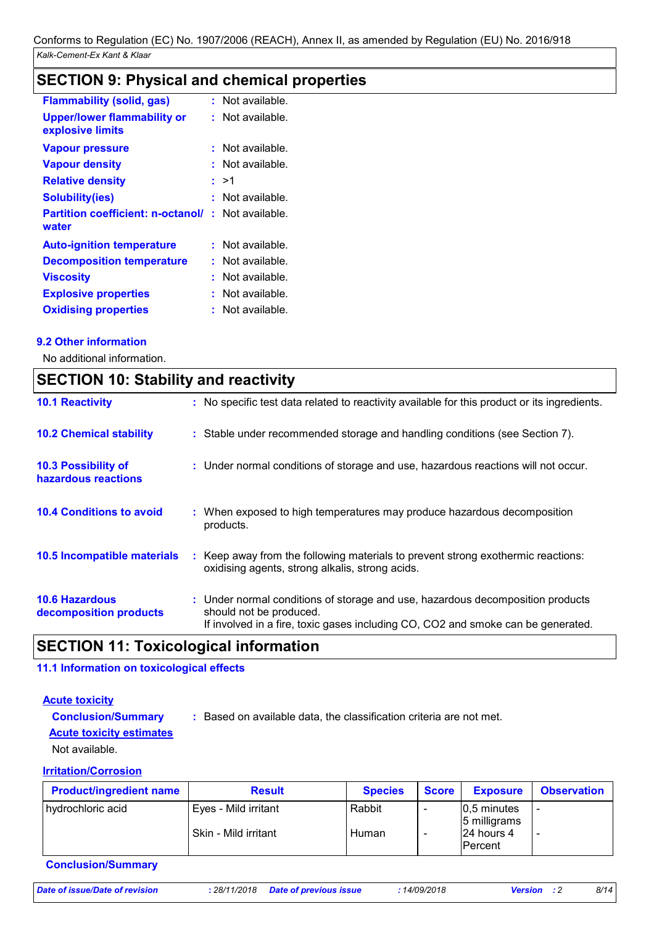## **SECTION 9: Physical and chemical properties**

| <b>Flammability (solid, gas)</b>                       | t. | Not available. |
|--------------------------------------------------------|----|----------------|
| <b>Upper/lower flammability or</b><br>explosive limits | ŧ. | Not available. |
| <b>Vapour pressure</b>                                 |    | Not available. |
| <b>Vapour density</b>                                  |    | Not available. |
| <b>Relative density</b>                                |    | : >1           |
| Solubility(ies)                                        |    | Not available. |
| <b>Partition coefficient: n-octanol/</b><br>water      | t  | Not available. |
| <b>Auto-ignition temperature</b>                       | t. | Not available. |
| <b>Decomposition temperature</b>                       | ÷. | Not available. |
| <b>Viscosity</b>                                       |    | Not available. |
| <b>Explosive properties</b>                            | ÷  | Not available. |
| <b>Oxidising properties</b>                            |    | Not available. |

### **9.2 Other information**

No additional information.

| <b>SECTION 10: Stability and reactivity</b>       |                                                                                                                                                                                               |  |  |  |
|---------------------------------------------------|-----------------------------------------------------------------------------------------------------------------------------------------------------------------------------------------------|--|--|--|
| <b>10.1 Reactivity</b>                            | : No specific test data related to reactivity available for this product or its ingredients.                                                                                                  |  |  |  |
| <b>10.2 Chemical stability</b>                    | : Stable under recommended storage and handling conditions (see Section 7).                                                                                                                   |  |  |  |
| <b>10.3 Possibility of</b><br>hazardous reactions | : Under normal conditions of storage and use, hazardous reactions will not occur.                                                                                                             |  |  |  |
| <b>10.4 Conditions to avoid</b>                   | When exposed to high temperatures may produce hazardous decomposition<br>products.                                                                                                            |  |  |  |
| <b>10.5 Incompatible materials</b>                | : Keep away from the following materials to prevent strong exothermic reactions:<br>oxidising agents, strong alkalis, strong acids.                                                           |  |  |  |
| <b>10.6 Hazardous</b><br>decomposition products   | : Under normal conditions of storage and use, hazardous decomposition products<br>should not be produced.<br>If involved in a fire, toxic gases including CO, CO2 and smoke can be generated. |  |  |  |

## **SECTION 11: Toxicological information**

**11.1 Information on toxicological effects**

### **Acute toxicity**

**Conclusion/Summary :** Based on available data, the classification criteria are not met.

### **Acute toxicity estimates**

Not available.

### **Irritation/Corrosion**

| <b>Product/ingredient name</b> | <b>Result</b>        | <b>Species</b> | <b>Score</b> | <b>Exposure</b>                | <b>Observation</b> |
|--------------------------------|----------------------|----------------|--------------|--------------------------------|--------------------|
| hydrochloric acid              | Eyes - Mild irritant | Rabbit         |              | $0.5$ minutes<br>5 milligrams  |                    |
|                                | Skin - Mild irritant | Human          |              | 124 hours 4<br><b>IPercent</b> |                    |

**Conclusion/Summary**

```
Date of issue/Date of revision : 28/11/2018 Date of previous issue : 14/09/2018 Version : 2 8/14
```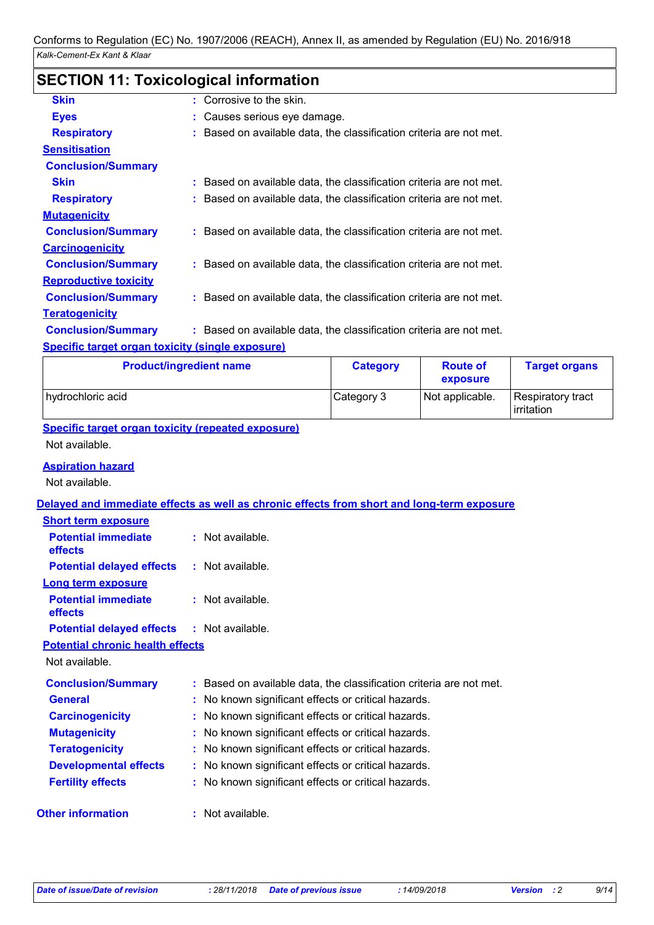# **SECTION 11: Toxicological information**

| <b>Skin</b>                                      | : Corrosive to the skin.                                            |
|--------------------------------------------------|---------------------------------------------------------------------|
| <b>Eyes</b>                                      | : Causes serious eye damage.                                        |
| <b>Respiratory</b>                               | : Based on available data, the classification criteria are not met. |
| <b>Sensitisation</b>                             |                                                                     |
| <b>Conclusion/Summary</b>                        |                                                                     |
| <b>Skin</b>                                      | : Based on available data, the classification criteria are not met. |
| <b>Respiratory</b>                               | Based on available data, the classification criteria are not met.   |
| <b>Mutagenicity</b>                              |                                                                     |
| <b>Conclusion/Summary</b>                        | : Based on available data, the classification criteria are not met. |
| <b>Carcinogenicity</b>                           |                                                                     |
| <b>Conclusion/Summary</b>                        | : Based on available data, the classification criteria are not met. |
| <b>Reproductive toxicity</b>                     |                                                                     |
| <b>Conclusion/Summary</b>                        | : Based on available data, the classification criteria are not met. |
| <b>Teratogenicity</b>                            |                                                                     |
| <b>Conclusion/Summary</b>                        | : Based on available data, the classification criteria are not met. |
| Specific target organ toxicity (single exposure) |                                                                     |

| <b>Product/ingredient name</b> | <b>Category</b> | <b>Route of</b><br>exposure | <b>Target organs</b>              |
|--------------------------------|-----------------|-----------------------------|-----------------------------------|
| l hydrochloric acid            | Category 3      | Not applicable.             | Respiratory tract<br>l irritation |

**Specific target organ toxicity (repeated exposure)** Not available.

### **Aspiration hazard**

Not available.

### **Delayed and immediate effects as well as chronic effects from short and long-term exposure**

| <b>Short term exposure</b>                   |                                                                     |
|----------------------------------------------|---------------------------------------------------------------------|
| <b>Potential immediate</b><br>effects        | $:$ Not available.                                                  |
| <b>Potential delayed effects</b>             | $:$ Not available.                                                  |
| <b>Long term exposure</b>                    |                                                                     |
| <b>Potential immediate</b><br><b>effects</b> | $:$ Not available.                                                  |
| <b>Potential delayed effects</b>             | : Not available.                                                    |
| <b>Potential chronic health effects</b>      |                                                                     |
| Not available.                               |                                                                     |
| <b>Conclusion/Summary</b>                    | : Based on available data, the classification criteria are not met. |
| <b>General</b>                               | : No known significant effects or critical hazards.                 |
| <b>Carcinogenicity</b>                       | : No known significant effects or critical hazards.                 |
|                                              |                                                                     |
| <b>Mutagenicity</b>                          | : No known significant effects or critical hazards.                 |
| <b>Teratogenicity</b>                        | : No known significant effects or critical hazards.                 |
| <b>Developmental effects</b>                 | : No known significant effects or critical hazards.                 |
| <b>Fertility effects</b>                     | : No known significant effects or critical hazards.                 |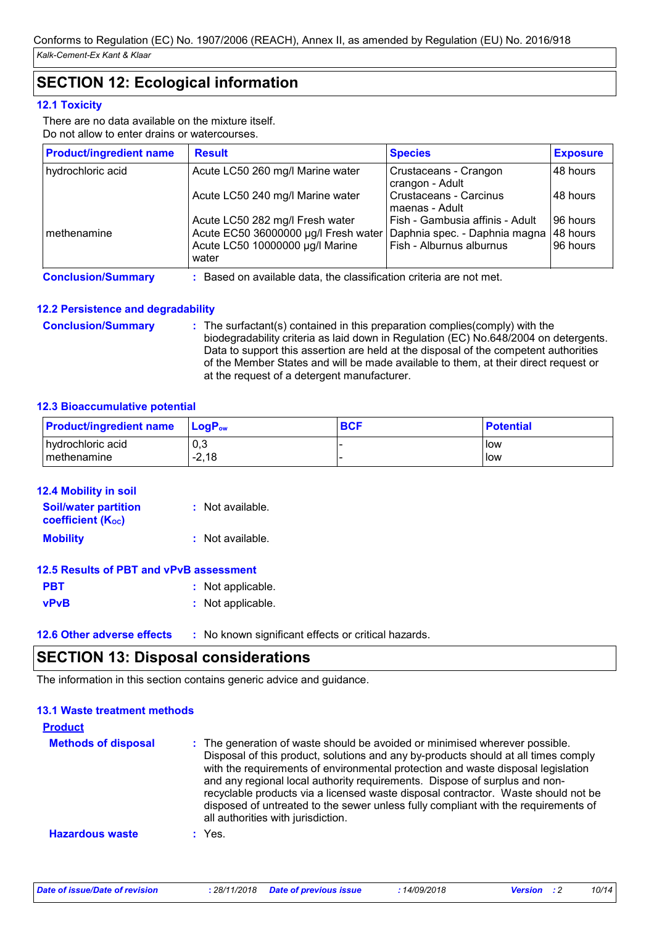# **SECTION 12: Ecological information**

### **12.1 Toxicity**

There are no data available on the mixture itself. Do not allow to enter drains or watercourses.

| <b>Product/ingredient name</b> | <b>Result</b>                                                        | <b>Species</b>                           | <b>Exposure</b> |
|--------------------------------|----------------------------------------------------------------------|------------------------------------------|-----------------|
| hydrochloric acid              | Acute LC50 260 mg/l Marine water                                     | Crustaceans - Crangon<br>crangon - Adult | 48 hours        |
|                                | Acute LC50 240 mg/l Marine water                                     | Crustaceans - Carcinus<br>maenas - Adult | 48 hours        |
|                                | Acute LC50 282 mg/l Fresh water                                      | Fish - Gambusia affinis - Adult          | 96 hours        |
| methenamine                    | Acute EC50 36000000 µg/l Fresh water   Daphnia spec. - Daphnia magna |                                          | 148 hours       |
|                                | Acute LC50 10000000 µg/l Marine<br>water                             | Fish - Alburnus alburnus                 | 96 hours        |
| <b>Conclusion/Summary</b>      | : Based on available data, the classification criteria are not met.  |                                          |                 |

### **12.2 Persistence and degradability**

| <b>Conclusion/Summary</b> | : The surfactant(s) contained in this preparation complies (comply) with the<br>biodegradability criteria as laid down in Regulation (EC) No.648/2004 on detergents.<br>Data to support this assertion are held at the disposal of the competent authorities<br>of the Member States and will be made available to them, at their direct request or |
|---------------------------|-----------------------------------------------------------------------------------------------------------------------------------------------------------------------------------------------------------------------------------------------------------------------------------------------------------------------------------------------------|
|                           | at the request of a detergent manufacturer.                                                                                                                                                                                                                                                                                                         |

### **12.3 Bioaccumulative potential**

| <b>Product/ingredient name</b> | <b>LogP</b> <sub>ow</sub> | <b>BCF</b> | <b>Potential</b> |
|--------------------------------|---------------------------|------------|------------------|
| hydrochloric acid              | 0,3                       |            | l low            |
| I methenamine                  | $-2,18$                   |            | llow             |

| <b>12.4 Mobility in soil</b>                            |                   |
|---------------------------------------------------------|-------------------|
| <b>Soil/water partition</b><br><b>coefficient (Koc)</b> | : Not available.  |
| <b>Mobility</b>                                         | : Not available.  |
| <b>12.5 Results of PBT and vPvB assessment</b>          |                   |
| <b>PBT</b>                                              | : Not applicable. |
| <b>vPvB</b>                                             | : Not applicable. |

**12.6 Other adverse effects** : No known significant effects or critical hazards.

### **SECTION 13: Disposal considerations**

The information in this section contains generic advice and guidance.

| <b>13.1 Waste treatment methods</b> |                                                                                                                                                                                                                                                                                                                                                                                                                                                                                                                                                      |
|-------------------------------------|------------------------------------------------------------------------------------------------------------------------------------------------------------------------------------------------------------------------------------------------------------------------------------------------------------------------------------------------------------------------------------------------------------------------------------------------------------------------------------------------------------------------------------------------------|
| <b>Product</b>                      |                                                                                                                                                                                                                                                                                                                                                                                                                                                                                                                                                      |
| <b>Methods of disposal</b>          | : The generation of waste should be avoided or minimised wherever possible.<br>Disposal of this product, solutions and any by-products should at all times comply<br>with the requirements of environmental protection and waste disposal legislation<br>and any regional local authority requirements. Dispose of surplus and non-<br>recyclable products via a licensed waste disposal contractor. Waste should not be<br>disposed of untreated to the sewer unless fully compliant with the requirements of<br>all authorities with jurisdiction. |
| <b>Hazardous waste</b>              | $:$ Yes.                                                                                                                                                                                                                                                                                                                                                                                                                                                                                                                                             |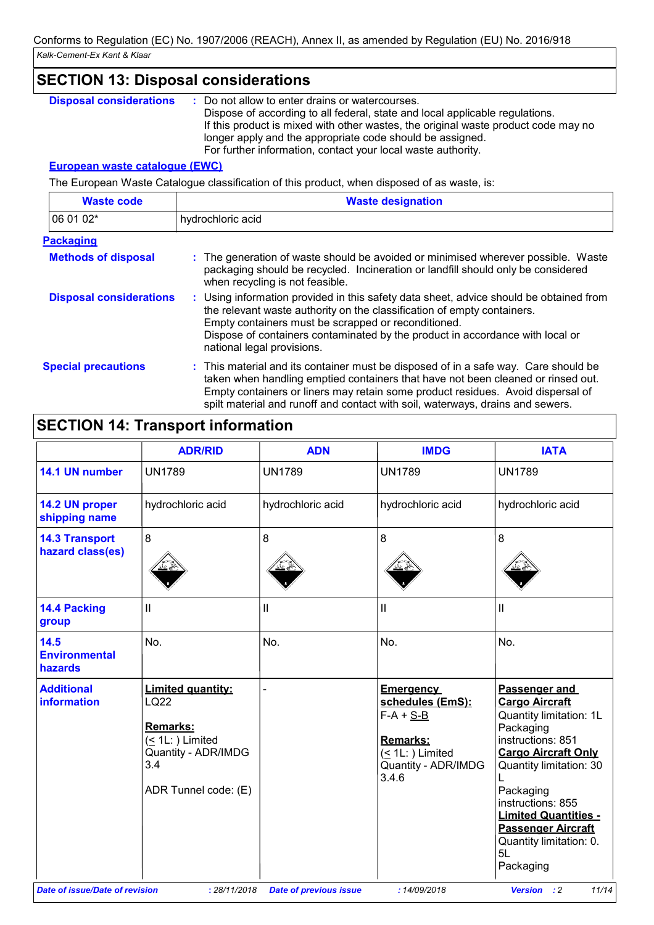### **SECTION 13: Disposal considerations**

: Do not allow to enter drains or watercourses. Dispose of according to all federal, state and local applicable regulations. If this product is mixed with other wastes, the original waste product code may no longer apply and the appropriate code should be assigned. For further information, contact your local waste authority. **Disposal considerations :**

### **European waste catalogue (EWC)**

The European Waste Catalogue classification of this product, when disposed of as waste, is:

| <b>Waste code</b>              | <b>Waste designation</b>                                                                                                                                                                                                                                                                                                                     |  |  |  |  |
|--------------------------------|----------------------------------------------------------------------------------------------------------------------------------------------------------------------------------------------------------------------------------------------------------------------------------------------------------------------------------------------|--|--|--|--|
| 06 01 02*                      | hydrochloric acid                                                                                                                                                                                                                                                                                                                            |  |  |  |  |
| <b>Packaging</b>               |                                                                                                                                                                                                                                                                                                                                              |  |  |  |  |
| <b>Methods of disposal</b>     | : The generation of waste should be avoided or minimised wherever possible. Waste<br>packaging should be recycled. Incineration or landfill should only be considered<br>when recycling is not feasible.                                                                                                                                     |  |  |  |  |
| <b>Disposal considerations</b> | : Using information provided in this safety data sheet, advice should be obtained from<br>the relevant waste authority on the classification of empty containers.<br>Empty containers must be scrapped or reconditioned.<br>Dispose of containers contaminated by the product in accordance with local or<br>national legal provisions.      |  |  |  |  |
| <b>Special precautions</b>     | : This material and its container must be disposed of in a safe way. Care should be<br>taken when handling emptied containers that have not been cleaned or rinsed out.<br>Empty containers or liners may retain some product residues. Avoid dispersal of<br>spilt material and runoff and contact with soil, waterways, drains and sewers. |  |  |  |  |

## **SECTION 14: Transport information**

|                                           | <b>ADR/RID</b>                                                                                                            | <b>ADN</b>        | <b>IMDG</b>                                                                                                                  | <b>IATA</b>                                                                                                                                                                                                                                                                                              |
|-------------------------------------------|---------------------------------------------------------------------------------------------------------------------------|-------------------|------------------------------------------------------------------------------------------------------------------------------|----------------------------------------------------------------------------------------------------------------------------------------------------------------------------------------------------------------------------------------------------------------------------------------------------------|
| 14.1 UN number                            | <b>UN1789</b>                                                                                                             | <b>UN1789</b>     | <b>UN1789</b>                                                                                                                | <b>UN1789</b>                                                                                                                                                                                                                                                                                            |
| 14.2 UN proper<br>shipping name           | hydrochloric acid                                                                                                         | hydrochloric acid | hydrochloric acid                                                                                                            | hydrochloric acid                                                                                                                                                                                                                                                                                        |
| <b>14.3 Transport</b><br>hazard class(es) | 8                                                                                                                         | 8                 | 8                                                                                                                            | 8                                                                                                                                                                                                                                                                                                        |
| 14.4 Packing<br>group                     | $\sf II$                                                                                                                  | Ш                 | $\mathbf{I}$                                                                                                                 | Ш                                                                                                                                                                                                                                                                                                        |
| 14.5<br><b>Environmental</b><br>hazards   | No.                                                                                                                       | No.               | No.                                                                                                                          | No.                                                                                                                                                                                                                                                                                                      |
| <b>Additional</b><br><b>information</b>   | <b>Limited quantity:</b><br>LQ22<br>Remarks:<br>$($ 1L: $)$ Limited<br>Quantity - ADR/IMDG<br>3.4<br>ADR Tunnel code: (E) |                   | <b>Emergency</b><br>schedules (EmS):<br>$F-A + S-B$<br>Remarks:<br>$( \leq 1L$ : $)$ Limited<br>Quantity - ADR/IMDG<br>3.4.6 | Passenger and<br><b>Cargo Aircraft</b><br>Quantity limitation: 1L<br>Packaging<br>instructions: 851<br><b>Cargo Aircraft Only</b><br>Quantity limitation: 30<br>Packaging<br>instructions: 855<br><b>Limited Quantities -</b><br><b>Passenger Aircraft</b><br>Quantity limitation: 0.<br>5L<br>Packaging |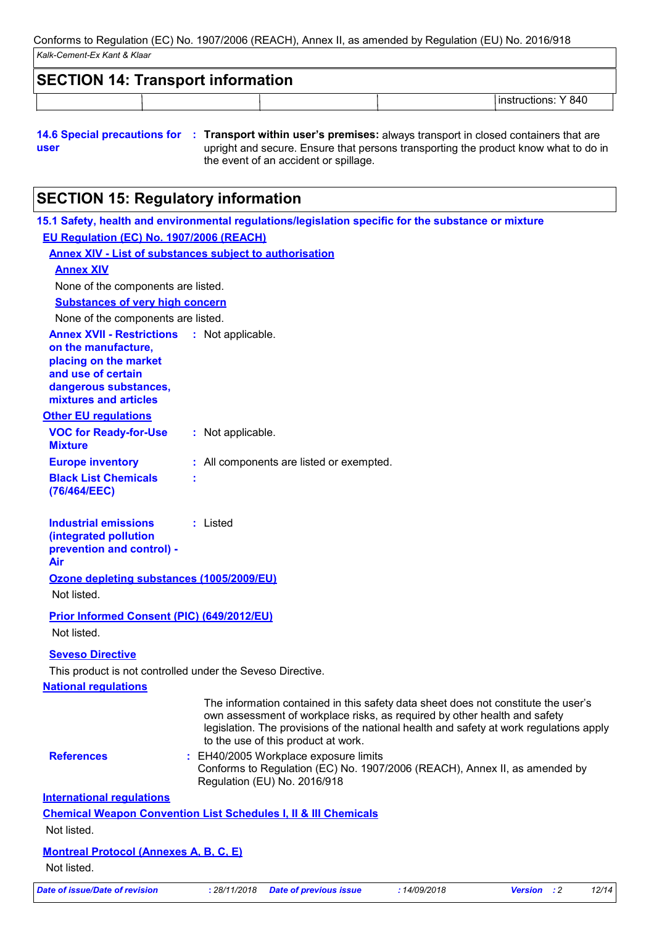| <b>SECTION 14: Transport information</b> |                       |  |
|------------------------------------------|-----------------------|--|
|                                          | l instructions: Y 840 |  |

```
user
```
**14.6 Special precautions for : Transport within user's premises: always transport in closed containers that are** upright and secure. Ensure that persons transporting the product know what to do in the event of an accident or spillage.

## **SECTION 15: Regulatory information**

|                                                                                                                                                                            | 15.1 Safety, health and environmental regulations/legislation specific for the substance or mixture                                                                                                                                                                                               |
|----------------------------------------------------------------------------------------------------------------------------------------------------------------------------|---------------------------------------------------------------------------------------------------------------------------------------------------------------------------------------------------------------------------------------------------------------------------------------------------|
| EU Regulation (EC) No. 1907/2006 (REACH)                                                                                                                                   |                                                                                                                                                                                                                                                                                                   |
|                                                                                                                                                                            | <b>Annex XIV - List of substances subject to authorisation</b>                                                                                                                                                                                                                                    |
| <b>Annex XIV</b>                                                                                                                                                           |                                                                                                                                                                                                                                                                                                   |
| None of the components are listed.                                                                                                                                         |                                                                                                                                                                                                                                                                                                   |
| <b>Substances of very high concern</b>                                                                                                                                     |                                                                                                                                                                                                                                                                                                   |
| None of the components are listed.                                                                                                                                         |                                                                                                                                                                                                                                                                                                   |
| <b>Annex XVII - Restrictions : Not applicable.</b><br>on the manufacture,<br>placing on the market<br>and use of certain<br>dangerous substances,<br>mixtures and articles |                                                                                                                                                                                                                                                                                                   |
| <b>Other EU requlations</b>                                                                                                                                                |                                                                                                                                                                                                                                                                                                   |
| <b>VOC for Ready-for-Use</b><br><b>Mixture</b>                                                                                                                             | : Not applicable.                                                                                                                                                                                                                                                                                 |
| <b>Europe inventory</b>                                                                                                                                                    | : All components are listed or exempted.                                                                                                                                                                                                                                                          |
| <b>Black List Chemicals</b><br>(76/464/EEC)                                                                                                                                | t                                                                                                                                                                                                                                                                                                 |
| <b>Industrial emissions</b><br>(integrated pollution<br>prevention and control) -<br>Air                                                                                   | : Listed                                                                                                                                                                                                                                                                                          |
| Ozone depleting substances (1005/2009/EU)<br>Not listed.                                                                                                                   |                                                                                                                                                                                                                                                                                                   |
| <b>Prior Informed Consent (PIC) (649/2012/EU)</b><br>Not listed.                                                                                                           |                                                                                                                                                                                                                                                                                                   |
| <b>Seveso Directive</b>                                                                                                                                                    |                                                                                                                                                                                                                                                                                                   |
|                                                                                                                                                                            | This product is not controlled under the Seveso Directive.                                                                                                                                                                                                                                        |
| <b>National requlations</b>                                                                                                                                                |                                                                                                                                                                                                                                                                                                   |
|                                                                                                                                                                            | The information contained in this safety data sheet does not constitute the user's<br>own assessment of workplace risks, as required by other health and safety<br>legislation. The provisions of the national health and safety at work regulations apply<br>to the use of this product at work. |
| <b>References</b>                                                                                                                                                          | : EH40/2005 Workplace exposure limits<br>Conforms to Regulation (EC) No. 1907/2006 (REACH), Annex II, as amended by<br>Regulation (EU) No. 2016/918                                                                                                                                               |
| <b>International regulations</b>                                                                                                                                           |                                                                                                                                                                                                                                                                                                   |
| Not listed.                                                                                                                                                                | <b>Chemical Weapon Convention List Schedules I, II &amp; III Chemicals</b>                                                                                                                                                                                                                        |
| <b>Montreal Protocol (Annexes A, B, C, E)</b><br>Not listed.                                                                                                               |                                                                                                                                                                                                                                                                                                   |
| Date of issue/Date of revision                                                                                                                                             | : 28/11/2018<br><b>Date of previous issue</b><br>: 14/09/2018<br>Version : 2<br>12/14                                                                                                                                                                                                             |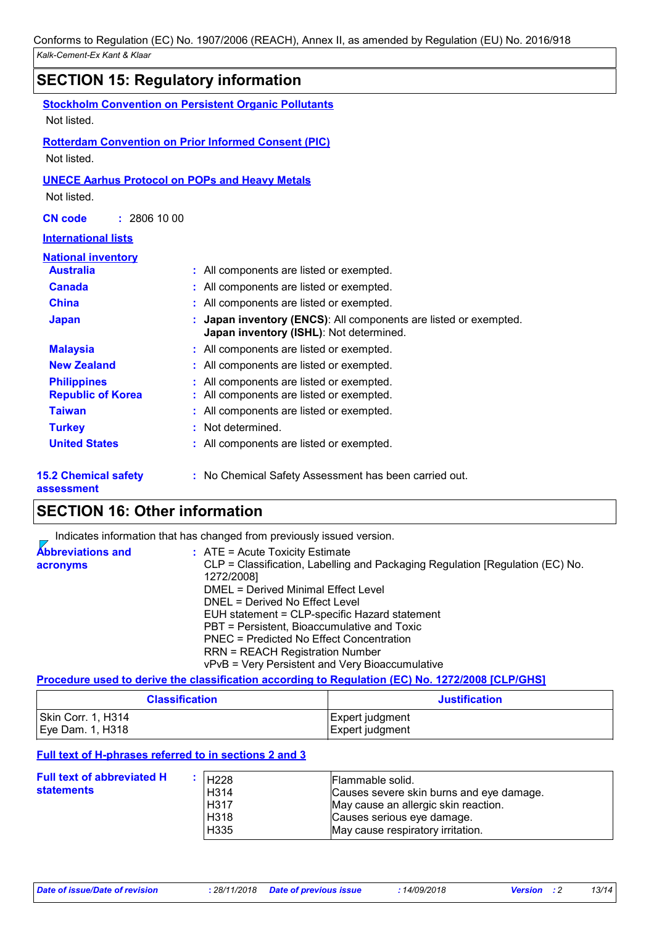# **SECTION 15: Regulatory information**

| <b>Stockholm Convention on Persistent Organic Pollutants</b><br>Not listed. |                                                                                                           |
|-----------------------------------------------------------------------------|-----------------------------------------------------------------------------------------------------------|
| <b>Rotterdam Convention on Prior Informed Consent (PIC)</b><br>Not listed.  |                                                                                                           |
| <b>UNECE Aarhus Protocol on POPs and Heavy Metals</b><br>Not listed.        |                                                                                                           |
| : 2806100<br><b>CN</b> code                                                 |                                                                                                           |
| <b>International lists</b>                                                  |                                                                                                           |
| <b>National inventory</b>                                                   |                                                                                                           |
| <b>Australia</b>                                                            | : All components are listed or exempted.                                                                  |
| <b>Canada</b>                                                               | All components are listed or exempted.                                                                    |
| <b>China</b>                                                                | All components are listed or exempted.                                                                    |
| <b>Japan</b>                                                                | Japan inventory (ENCS): All components are listed or exempted.<br>Japan inventory (ISHL): Not determined. |
| <b>Malaysia</b>                                                             | : All components are listed or exempted.                                                                  |
| <b>New Zealand</b>                                                          | All components are listed or exempted.                                                                    |
| <b>Philippines</b><br><b>Republic of Korea</b>                              | All components are listed or exempted.<br>All components are listed or exempted.                          |
| <b>Taiwan</b>                                                               | All components are listed or exempted.                                                                    |
| <b>Turkey</b>                                                               | : Not determined.                                                                                         |
| <b>United States</b>                                                        | All components are listed or exempted.                                                                    |
| <b>15.2 Chemical safety</b>                                                 | : No Chemical Safety Assessment has been carried out.                                                     |

**assessment**

# **SECTION 16: Other information**

|                                      | Indicates information that has changed from previously issued version.                                                                                                                                                                                                                                    |
|--------------------------------------|-----------------------------------------------------------------------------------------------------------------------------------------------------------------------------------------------------------------------------------------------------------------------------------------------------------|
| <b>Abbreviations and</b><br>acronyms | $:$ ATE = Acute Toxicity Estimate<br>CLP = Classification, Labelling and Packaging Regulation [Regulation (EC) No.<br>1272/2008]<br>DMEL = Derived Minimal Effect Level<br>DNEL = Derived No Effect Level<br>EUH statement = CLP-specific Hazard statement<br>PBT = Persistent, Bioaccumulative and Toxic |
|                                      | PNEC = Predicted No Effect Concentration<br><b>RRN = REACH Registration Number</b><br>vPvB = Very Persistent and Very Bioaccumulative                                                                                                                                                                     |

### **Procedure used to derive the classification according to Regulation (EC) No. 1272/2008 [CLP/GHS]**

| <b>Classification</b> | <b>Justification</b> |
|-----------------------|----------------------|
| Skin Corr. 1, H314    | Expert judgment      |
| Eye Dam. 1, H318      | Expert judgment      |

### **Full text of H-phrases referred to in sections 2 and 3**

| <b>Full text of abbreviated H</b><br><b>statements</b> | H228<br>H <sub>3</sub> 14<br>l H317<br>H318<br>H335 | Flammable solid.<br>Causes severe skin burns and eye damage.<br>May cause an allergic skin reaction.<br>Causes serious eye damage.<br>May cause respiratory irritation. |
|--------------------------------------------------------|-----------------------------------------------------|-------------------------------------------------------------------------------------------------------------------------------------------------------------------------|
|                                                        |                                                     |                                                                                                                                                                         |